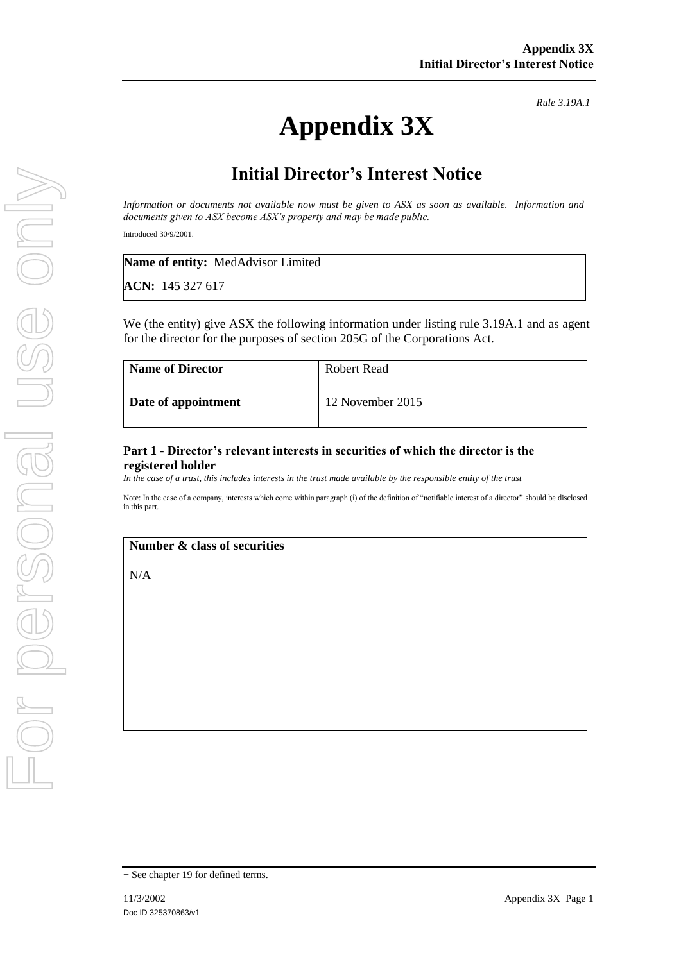# **Appendix 3X**

*Rule 3.19A.1*

# **Initial Director's Interest Notice**

*Information or documents not available now must be given to ASX as soon as available. Information and documents given to ASX become ASX's property and may be made public.*

Introduced 30/9/2001.

| <b>Name of entity:</b> MedAdvisor Limited |  |
|-------------------------------------------|--|
| ACN: 145 327 617                          |  |

We (the entity) give ASX the following information under listing rule 3.19A.1 and as agent for the director for the purposes of section 205G of the Corporations Act.

| <b>Name of Director</b> | <b>Robert Read</b> |
|-------------------------|--------------------|
| Date of appointment     | 12 November 2015   |

#### **Part 1 - Director's relevant interests in securities of which the director is the registered holder**

*In the case of a trust, this includes interests in the trust made available by the responsible entity of the trust*

Note: In the case of a company, interests which come within paragraph (i) of the definition of "notifiable interest of a director" should be disclosed in this part.

#### **Number & class of securities**

N/A

<sup>+</sup> See chapter 19 for defined terms.